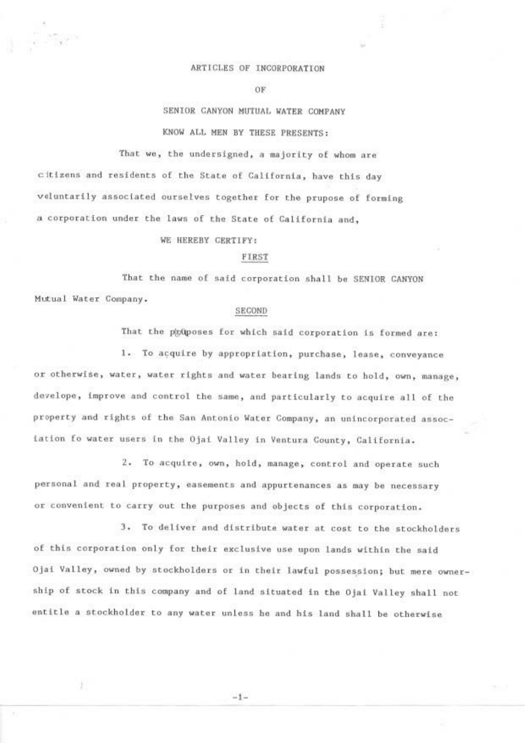#### ARTICLES OF INCORPORATION

OF

# SENIOR CANYON MUTUAL WATER COMPANY KNOW ALL MEN BY THESE PRESENTS:

That we, the undersigned, a majority of whom are

citizens and residents of the State of California, have this day veluntarily associated ourselves together for the prupose of forming a corporation under the laws of the State of California and,

#### WE HEREBY CERTIFY:

#### FIRST

That the name of said corporation shall be SENIOR CANYON Mutual Water Company.

#### SECOND

That the phoposes for which said corporation is formed are:

1. To acquire by appropriation, purchase, lease, conveyance or otherwise, water, water rights and water bearing lands to hold, own, manage, develope, improve and control the same, and particularly to acquire all of the property and rights of the San Antonio Water Company, an unincorporated association fo water users in the Ojai Valley in Ventura County, California.

2. To acquire, own, hold, manage, control and operate such personal and real property, easements and appurtenances as may be necessary or convenient to carry out the purposes and objects of this corporation.

3. To deliver and distribute water at cost to the stockholders of this corporation only for their exclusive use upon lands within the said Ojai Valley, owned by stockholders or in their lawful possession; but mere ownership of stock in this company and of land situated in the Ojai Valley shall not entitle a stockholder to any water unless he and his land shall be otherwise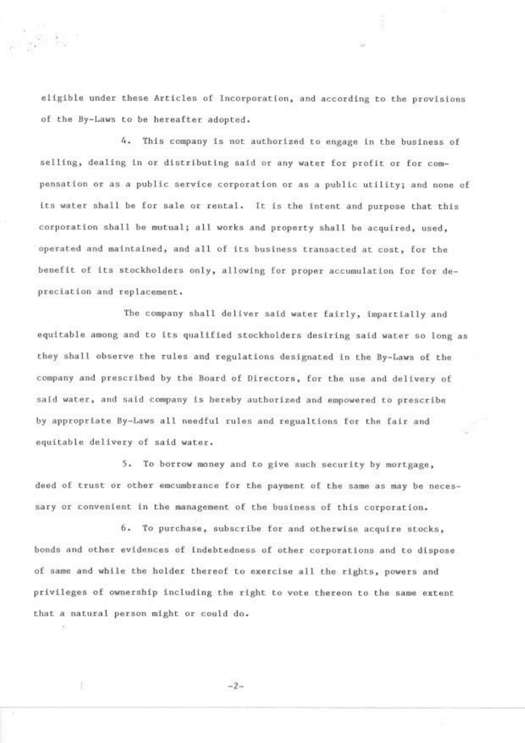eligible under these Articles of Incorporation, and according to the provisions of the By-Laws to be hereafter adopted.

经验

4. This company is not authorized to engage in the business of selling, dealing in or distributing said or any water for profit or for compensation or as a public service corporation or as a public utility; and none of its water shall be for sale or rental. It is the intent and purpose that this corporation shall be mutual; all works and property shall be acquired, used, operated and maintained, and all of its business transacted at cost, for the benefit of its stockholders only, allowing for proper accumulation for for depreciation and replacement.

The company shall deliver said water fairly, impartially and equitable among and to its qualified stockholders desiring said water so long as they shall observe the rules and regulations designated in the By-Laws of the company and prescribed by the Board of Directors, for the use and delivery of said water, and said company is hereby authorized and empowered to prescribe by appropriate By-Laws all needful rules and regualtions for the fair and equitable delivery of said water.

5. To borrow money and to give such security by mortgage, deed of trust or other emcumbrance for the payment of the same as may be necessary or convenient in the management of the business of this corporation.

6. To purchase, subscribe for and otherwise acquire stocks, bonds and other evidences of indebtedness of other corporations and to dispose of same and while the holder thereof to exercise all the rights, powers and privileges of ownership including the right to vote thereon to the same extent that a natural person might or could do.

 $-2-$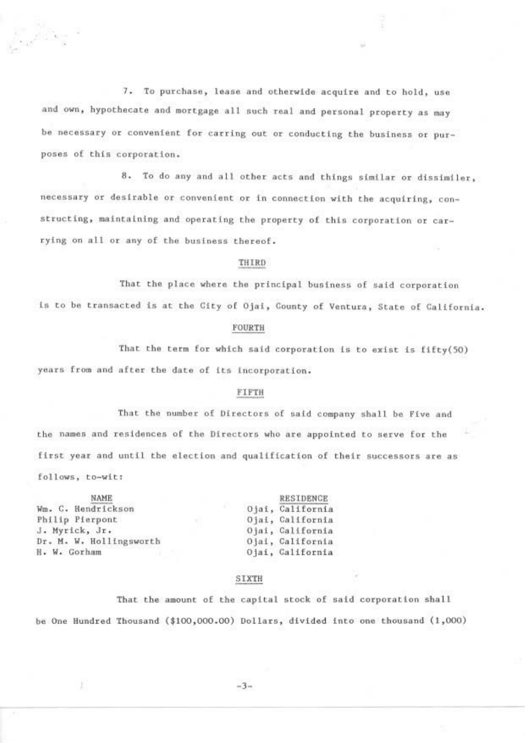7. To purchase, lease and otherwide acquire and to hold, use and own, hypothecate and mortgage all such real and personal property as may be necessary or convenient for carring out or conducting the business or purposes of this corporation.

8. To do any and all other acts and things similar or dissimiler, necessary or desirable or convenient or in connection with the acquiring, constructing, maintaining and operating the property of this corporation or carrying on all or any of the business thereof.

#### THIRD

That the place where the principal business of said corporation

is to be transacted is at the City of Ojai, County of Ventura, State of California.

#### FOURTH

That the term for which said corporation is to exist is fifty(50) years from and after the date of its incorporation.

### FIFTH

That the number of Directors of said company shall be Five and the names and residences of the Directors who are appointed to serve for the first year and until the election and qualification of their successors are as follows, to-wit:

| <b>NAME</b>             | <b>RESIDENCE</b> |
|-------------------------|------------------|
| Wm. C. Hendrickson      | Ojai, California |
| Philip Pierpont         | Ojai, California |
| J. Myrick, Jr.          | Ojai, California |
| Dr. M. W. Hollingsworth | Ojai, California |
| H. W. Gorham            | Ojai, Galifornia |

## SIXTH

That the amount of the capital stock of said corporation shall be One Hundred Thousand (\$100,000.00) Dollars, divided into one thousand (1,000)